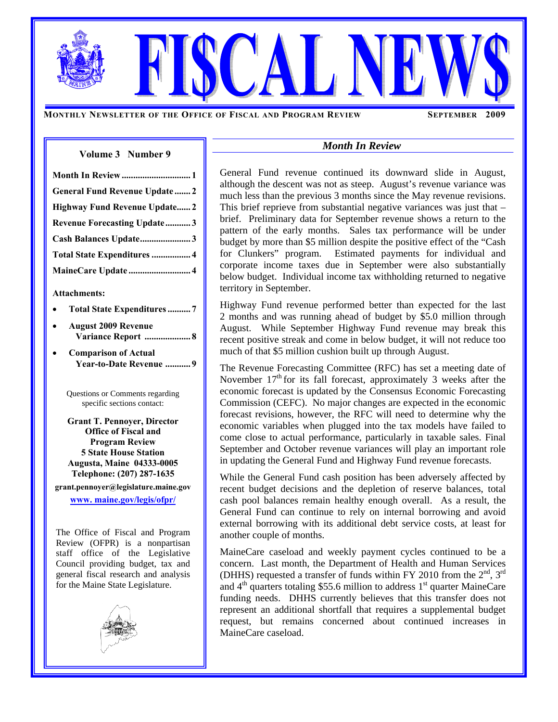**MONTHLY NEWSLETTER OF THE OFFICE OF FISCAL AND PROGRAM REVIEW SEPTEMBER 2009** 

### **Volume 3****Number 9**

| Month In Review  1                  |
|-------------------------------------|
| <b>General Fund Revenue Update2</b> |
| Highway Fund Revenue Update2        |
| <b>Revenue Forecasting Update3</b>  |
| Cash Balances Update3               |
| Total State Expenditures  4         |
| MaineCare Update  4                 |
|                                     |

#### **Attachments:**

- **Total State Expenditures .......... 7**
- **August 2009 Revenue Variance Report .................... 8**
- **Comparison of Actual Year-to-Date Revenue ........... 9**

Questions or Comments regarding specific sections contact:

**Grant T. Pennoyer, Director Office of Fiscal and Program Review 5 State House Station Augusta, Maine 04333-0005 Telephone: (207) 287-1635 grant.pennoyer@legislature.maine.gov** 

**www. maine.gov/legis/ofpr/**

The Office of Fiscal and Program Review (OFPR) is a nonpartisan staff office of the Legislative Council providing budget, tax and general fiscal research and analysis for the Maine State Legislature.



## *Month In Review*

General Fund revenue continued its downward slide in August, although the descent was not as steep. August's revenue variance was much less than the previous 3 months since the May revenue revisions. This brief reprieve from substantial negative variances was just that – brief. Preliminary data for September revenue shows a return to the pattern of the early months. Sales tax performance will be under budget by more than \$5 million despite the positive effect of the "Cash for Clunkers" program. Estimated payments for individual and corporate income taxes due in September were also substantially below budget. Individual income tax withholding returned to negative territory in September.

Highway Fund revenue performed better than expected for the last 2 months and was running ahead of budget by \$5.0 million through August. While September Highway Fund revenue may break this recent positive streak and come in below budget, it will not reduce too much of that \$5 million cushion built up through August.

The Revenue Forecasting Committee (RFC) has set a meeting date of November  $17<sup>th</sup>$  for its fall forecast, approximately 3 weeks after the economic forecast is updated by the Consensus Economic Forecasting Commission (CEFC). No major changes are expected in the economic forecast revisions, however, the RFC will need to determine why the economic variables when plugged into the tax models have failed to come close to actual performance, particularly in taxable sales. Final September and October revenue variances will play an important role in updating the General Fund and Highway Fund revenue forecasts.

While the General Fund cash position has been adversely affected by recent budget decisions and the depletion of reserve balances, total cash pool balances remain healthy enough overall. As a result, the General Fund can continue to rely on internal borrowing and avoid external borrowing with its additional debt service costs, at least for another couple of months.

MaineCare caseload and weekly payment cycles continued to be a concern. Last month, the Department of Health and Human Services (DHHS) requested a transfer of funds within FY 2010 from the  $2<sup>nd</sup>$ ,  $3<sup>rd</sup>$ and  $4<sup>th</sup>$  quarters totaling \$55.6 million to address  $1<sup>st</sup>$  quarter MaineCare funding needs. DHHS currently believes that this transfer does not represent an additional shortfall that requires a supplemental budget request, but remains concerned about continued increases in MaineCare caseload.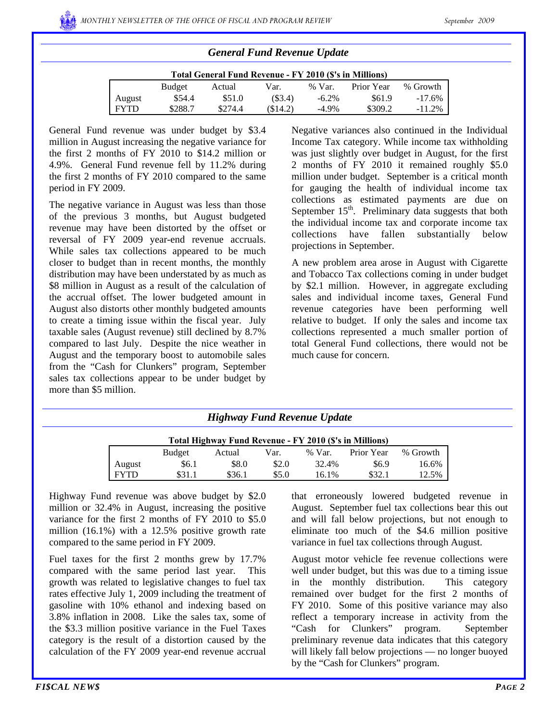| Total General Fund Revenue - FY 2010 (\$'s in Millions) |         |         |         |          |            |           |  |  |  |  |  |
|---------------------------------------------------------|---------|---------|---------|----------|------------|-----------|--|--|--|--|--|
|                                                         | Budget  | Actual  | Var.    | % Var.   | Prior Year | % Growth  |  |  |  |  |  |
| August                                                  | \$54.4  | \$51.0  | (\$3.4) | $-6.2\%$ | \$61.9     | $-17.6\%$ |  |  |  |  |  |
| <b>FYTD</b>                                             | \$288.7 | \$274.4 | \$14.2) | $-4.9\%$ | \$309.2    | $-11.2%$  |  |  |  |  |  |

*General Fund Revenue Update* 

General Fund revenue was under budget by \$3.4 million in August increasing the negative variance for the first 2 months of FY 2010 to \$14.2 million or 4.9%. General Fund revenue fell by 11.2% during the first 2 months of FY 2010 compared to the same period in FY 2009.

The negative variance in August was less than those of the previous 3 months, but August budgeted revenue may have been distorted by the offset or reversal of FY 2009 year-end revenue accruals. While sales tax collections appeared to be much closer to budget than in recent months, the monthly distribution may have been understated by as much as \$8 million in August as a result of the calculation of the accrual offset. The lower budgeted amount in August also distorts other monthly budgeted amounts to create a timing issue within the fiscal year. July taxable sales (August revenue) still declined by 8.7% compared to last July. Despite the nice weather in August and the temporary boost to automobile sales from the "Cash for Clunkers" program, September sales tax collections appear to be under budget by more than \$5 million.

Negative variances also continued in the Individual Income Tax category. While income tax withholding was just slightly over budget in August, for the first 2 months of FY 2010 it remained roughly \$5.0 million under budget. September is a critical month for gauging the health of individual income tax collections as estimated payments are due on September  $15<sup>th</sup>$ . Preliminary data suggests that both the individual income tax and corporate income tax collections have fallen substantially below projections in September.

A new problem area arose in August with Cigarette and Tobacco Tax collections coming in under budget by \$2.1 million. However, in aggregate excluding sales and individual income taxes, General Fund revenue categories have been performing well relative to budget. If only the sales and income tax collections represented a much smaller portion of total General Fund collections, there would not be much cause for concern.

### *Highway Fund Revenue Update*

| Total Highway Fund Revenue - FY 2010 (\$'s in Millions) |               |        |       |        |            |          |  |  |  |  |
|---------------------------------------------------------|---------------|--------|-------|--------|------------|----------|--|--|--|--|
|                                                         | <b>Budget</b> | Actual | Var.  | % Var. | Prior Year | % Growth |  |  |  |  |
| August                                                  | \$6.1         | \$8.0  | \$2.0 | 32.4%  | \$6.9      | 16.6%    |  |  |  |  |
| <b>FYTD</b>                                             | \$31.1        | \$36.1 | \$5.0 | 16.1%  | \$32.      | 12.5%    |  |  |  |  |

Highway Fund revenue was above budget by \$2.0 million or 32.4% in August, increasing the positive variance for the first 2 months of FY 2010 to \$5.0 million (16.1%) with a 12.5% positive growth rate compared to the same period in FY 2009.

Fuel taxes for the first 2 months grew by 17.7% compared with the same period last year. This growth was related to legislative changes to fuel tax rates effective July 1, 2009 including the treatment of gasoline with 10% ethanol and indexing based on 3.8% inflation in 2008. Like the sales tax, some of the \$3.3 million positive variance in the Fuel Taxes category is the result of a distortion caused by the calculation of the FY 2009 year-end revenue accrual

that erroneously lowered budgeted revenue in August. September fuel tax collections bear this out and will fall below projections, but not enough to eliminate too much of the \$4.6 million positive variance in fuel tax collections through August.

August motor vehicle fee revenue collections were well under budget, but this was due to a timing issue in the monthly distribution. This category remained over budget for the first 2 months of FY 2010. Some of this positive variance may also reflect a temporary increase in activity from the "Cash for Clunkers" program. September preliminary revenue data indicates that this category will likely fall below projections — no longer buoyed by the "Cash for Clunkers" program.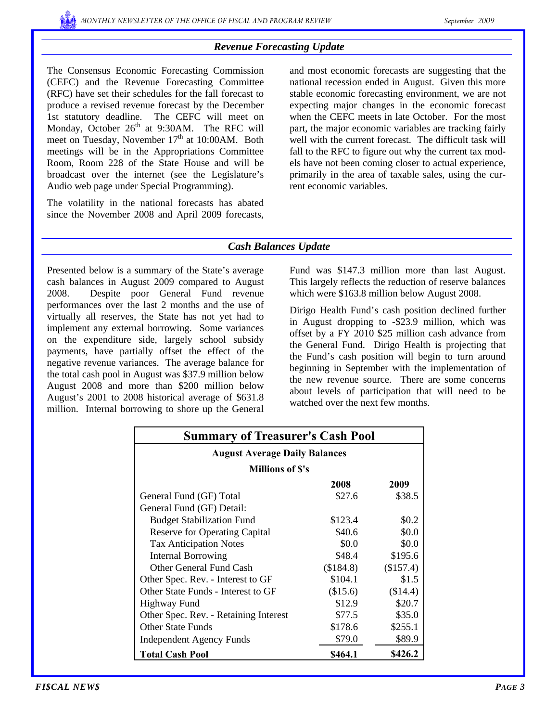# *Revenue Forecasting Update*

The Consensus Economic Forecasting Commission (CEFC) and the Revenue Forecasting Committee (RFC) have set their schedules for the fall forecast to produce a revised revenue forecast by the December 1st statutory deadline. The CEFC will meet on Monday, October 26<sup>th</sup> at 9:30AM. The RFC will meet on Tuesday, November  $17<sup>th</sup>$  at 10:00AM. Both meetings will be in the Appropriations Committee Room, Room 228 of the State House and will be broadcast over the internet (see the Legislature's Audio web page under Special Programming).

The volatility in the national forecasts has abated since the November 2008 and April 2009 forecasts, and most economic forecasts are suggesting that the national recession ended in August. Given this more stable economic forecasting environment, we are not expecting major changes in the economic forecast when the CEFC meets in late October. For the most part, the major economic variables are tracking fairly well with the current forecast. The difficult task will fall to the RFC to figure out why the current tax models have not been coming closer to actual experience, primarily in the area of taxable sales, using the current economic variables.

# *Cash Balances Update*

Presented below is a summary of the State's average cash balances in August 2009 compared to August 2008. Despite poor General Fund revenue performances over the last 2 months and the use of virtually all reserves, the State has not yet had to implement any external borrowing. Some variances on the expenditure side, largely school subsidy payments, have partially offset the effect of the negative revenue variances. The average balance for the total cash pool in August was \$37.9 million below August 2008 and more than \$200 million below August's 2001 to 2008 historical average of \$631.8 million. Internal borrowing to shore up the General

Fund was \$147.3 million more than last August. This largely reflects the reduction of reserve balances which were \$163.8 million below August 2008.

Dirigo Health Fund's cash position declined further in August dropping to -\$23.9 million, which was offset by a FY 2010 \$25 million cash advance from the General Fund. Dirigo Health is projecting that the Fund's cash position will begin to turn around beginning in September with the implementation of the new revenue source. There are some concerns about levels of participation that will need to be watched over the next few months.

| <b>Summary of Treasurer's Cash Pool</b> |          |           |  |  |  |  |  |  |
|-----------------------------------------|----------|-----------|--|--|--|--|--|--|
| <b>August Average Daily Balances</b>    |          |           |  |  |  |  |  |  |
| <b>Millions of S's</b>                  |          |           |  |  |  |  |  |  |
|                                         | 2008     | 2009      |  |  |  |  |  |  |
| General Fund (GF) Total                 | \$27.6   | \$38.5    |  |  |  |  |  |  |
| General Fund (GF) Detail:               |          |           |  |  |  |  |  |  |
| <b>Budget Stabilization Fund</b>        | \$123.4  | \$0.2     |  |  |  |  |  |  |
| <b>Reserve for Operating Capital</b>    | \$40.6   | \$0.0     |  |  |  |  |  |  |
| <b>Tax Anticipation Notes</b>           | \$0.0    | \$0.0     |  |  |  |  |  |  |
| Internal Borrowing                      | \$48.4   | \$195.6   |  |  |  |  |  |  |
| Other General Fund Cash                 | \$184.8  | (\$157.4) |  |  |  |  |  |  |
| Other Spec. Rev. - Interest to GF       | \$104.1  | \$1.5     |  |  |  |  |  |  |
| Other State Funds - Interest to GF      | (\$15.6) | (\$14.4)  |  |  |  |  |  |  |
| Highway Fund                            | \$12.9   | \$20.7    |  |  |  |  |  |  |
| Other Spec. Rev. - Retaining Interest   | \$77.5   | \$35.0    |  |  |  |  |  |  |
| <b>Other State Funds</b>                | \$178.6  | \$255.1   |  |  |  |  |  |  |
| <b>Independent Agency Funds</b>         | \$79.0   | \$89.9    |  |  |  |  |  |  |
| <b>Total Cash Pool</b>                  | \$464.1  | \$426.2   |  |  |  |  |  |  |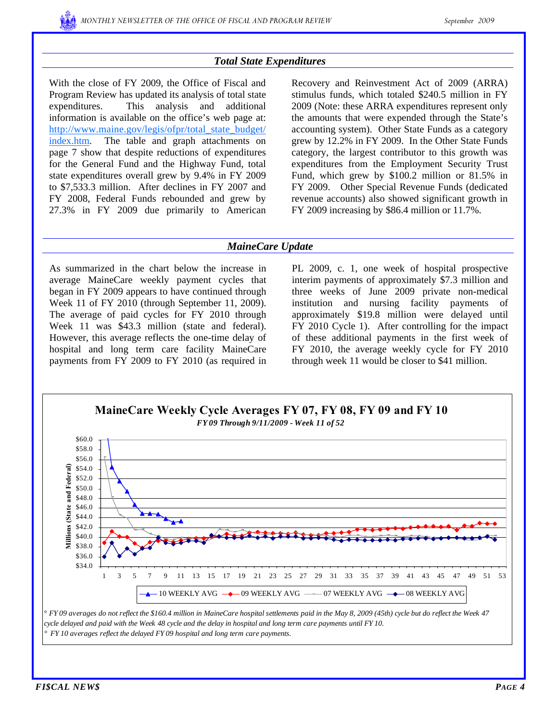

## *Total State Expenditures*

With the close of FY 2009, the Office of Fiscal and Program Review has updated its analysis of total state expenditures. This analysis and additional information is available on the office's web page at: http://www.maine.gov/legis/ofpr/total\_state\_budget/ index.htm. The table and graph attachments on page 7 show that despite reductions of expenditures for the General Fund and the Highway Fund, total state expenditures overall grew by 9.4% in FY 2009 to \$7,533.3 million. After declines in FY 2007 and FY 2008, Federal Funds rebounded and grew by 27.3% in FY 2009 due primarily to American

Recovery and Reinvestment Act of 2009 (ARRA) stimulus funds, which totaled \$240.5 million in FY 2009 (Note: these ARRA expenditures represent only the amounts that were expended through the State's accounting system). Other State Funds as a category grew by 12.2% in FY 2009. In the Other State Funds category, the largest contributor to this growth was expenditures from the Employment Security Trust Fund, which grew by \$100.2 million or 81.5% in FY 2009. Other Special Revenue Funds (dedicated revenue accounts) also showed significant growth in FY 2009 increasing by \$86.4 million or 11.7%.

### *MaineCare Update*

As summarized in the chart below the increase in average MaineCare weekly payment cycles that began in FY 2009 appears to have continued through Week 11 of FY 2010 (through September 11, 2009). The average of paid cycles for FY 2010 through Week 11 was \$43.3 million (state and federal). However, this average reflects the one-time delay of hospital and long term care facility MaineCare payments from FY 2009 to FY 2010 (as required in

PL 2009, c. 1, one week of hospital prospective interim payments of approximately \$7.3 million and three weeks of June 2009 private non-medical institution and nursing facility payments of approximately \$19.8 million were delayed until FY 2010 Cycle 1). After controlling for the impact of these additional payments in the first week of FY 2010, the average weekly cycle for FY 2010 through week 11 would be closer to \$41 million.

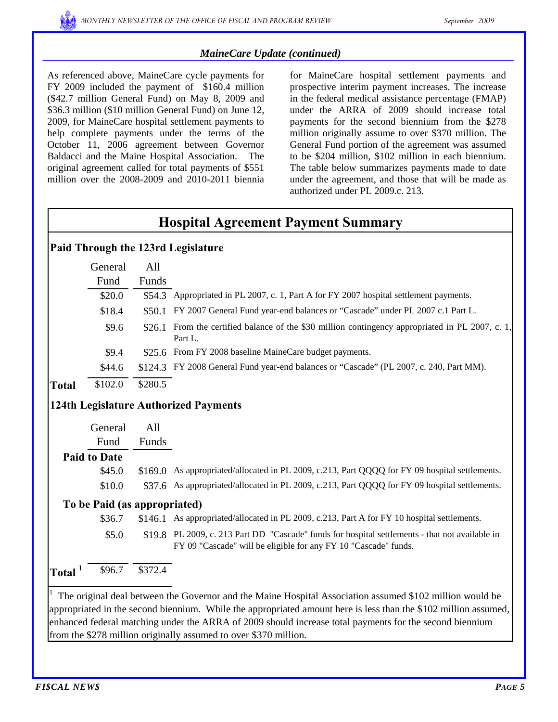# *MaineCare Update (continued)*

As referenced above, MaineCare cycle payments for FY 2009 included the payment of \$160.4 million (\$42.7 million General Fund) on May 8, 2009 and \$36.3 million (\$10 million General Fund) on June 12, 2009, for MaineCare hospital settlement payments to help complete payments under the terms of the October 11, 2006 agreement between Governor Baldacci and the Maine Hospital Association. The original agreement called for total payments of \$551 million over the 2008-2009 and 2010-2011 biennia

for MaineCare hospital settlement payments and prospective interim payment increases. The increase in the federal medical assistance percentage (FMAP) under the ARRA of 2009 should increase total payments for the second biennium from the \$278 million originally assume to over \$370 million. The General Fund portion of the agreement was assumed to be \$204 million, \$102 million in each biennium. The table below summarizes payments made to date under the agreement, and those that will be made as authorized under PL 2009.c. 213.

# **Hospital Agreement Payment Summary**

# **Paid Through the 123rd Legislature**

|              | General | All     |                                                                                                      |
|--------------|---------|---------|------------------------------------------------------------------------------------------------------|
|              | Fund    | Funds   |                                                                                                      |
|              | \$20.0  |         | \$54.3 Appropriated in PL 2007, c. 1, Part A for FY 2007 hospital settlement payments.               |
|              | \$18.4  | \$50.1  | FY 2007 General Fund year-end balances or "Cascade" under PL 2007 c.1 Part L.                        |
|              | \$9.6   | \$26.1  | From the certified balance of the \$30 million contingency appropriated in PL 2007, c. 1,<br>Part L. |
|              | \$9.4   |         | \$25.6 From FY 2008 baseline MaineCare budget payments.                                              |
|              | \$44.6  |         | \$124.3 FY 2008 General Fund year-end balances or "Cascade" (PL 2007, c. 240, Part MM).              |
| <b>Total</b> | \$102.0 | \$280.5 |                                                                                                      |
|              |         |         | <b>124th Legislature Authorized Payments</b>                                                         |

General Fund All Funds

# **Paid to Date**

\$45.0 \$169.0 As appropriated/allocated in PL 2009, c.213, Part QQQQ for FY 09 hospital settlements. \$10.0 \$37.6 As appropriated/allocated in PL 2009, c.213, Part QQQQ for FY 09 hospital settlements.

# **To be Paid (as appropriated)**

\$36.7 \$146.1 As appropriated/allocated in PL 2009, c.213, Part A for FY 10 hospital settlements.

\$5.0 \$19.8 PL 2009, c. 213 Part DD "Cascade" funds for hospital settlements - that not available in FY 09 "Cascade" will be eligible for any FY 10 "Cascade" funds.

**Total**  $1$  \$96.7 \$372.4

1 The original deal between the Governor and the Maine Hospital Association assumed \$102 million would be appropriated in the second biennium. While the appropriated amount here is less than the \$102 million assumed, enhanced federal matching under the ARRA of 2009 should increase total payments for the second biennium from the \$278 million originally assumed to over \$370 million.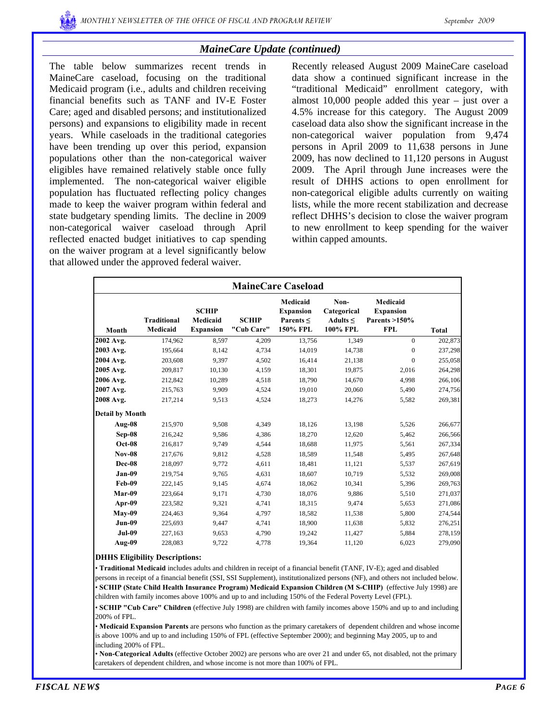# *MaineCare Update (continued)*

The table below summarizes recent trends in MaineCare caseload, focusing on the traditional Medicaid program (i.e., adults and children receiving financial benefits such as TANF and IV-E Foster Care; aged and disabled persons; and institutionalized persons) and expansions to eligibility made in recent years. While caseloads in the traditional categories have been trending up over this period, expansion populations other than the non-categorical waiver eligibles have remained relatively stable once fully implemented. The non-categorical waiver eligible population has fluctuated reflecting policy changes made to keep the waiver program within federal and state budgetary spending limits. The decline in 2009 non-categorical waiver caseload through April reflected enacted budget initiatives to cap spending on the waiver program at a level significantly below that allowed under the approved federal waiver.

Recently released August 2009 MaineCare caseload data show a continued significant increase in the "traditional Medicaid" enrollment category, with almost 10,000 people added this year – just over a 4.5% increase for this category. The August 2009 caseload data also show the significant increase in the non-categorical waiver population from 9,474 persons in April 2009 to 11,638 persons in June 2009, has now declined to 11,120 persons in August 2009. The April through June increases were the result of DHHS actions to open enrollment for non-categorical eligible adults currently on waiting lists, while the more recent stabilization and decrease reflect DHHS's decision to close the waiver program to new enrollment to keep spending for the waiver within capped amounts.

|                        | <b>MaineCare Caseload</b>      |                                              |                            |                                                            |                                                  |                                                             |              |  |  |  |  |  |
|------------------------|--------------------------------|----------------------------------------------|----------------------------|------------------------------------------------------------|--------------------------------------------------|-------------------------------------------------------------|--------------|--|--|--|--|--|
| Month                  | <b>Traditional</b><br>Medicaid | <b>SCHIP</b><br>Medicaid<br><b>Expansion</b> | <b>SCHIP</b><br>"Cub Care" | Medicaid<br><b>Expansion</b><br>Parents $\leq$<br>150% FPL | Non-<br>Categorical<br>Adults $\leq$<br>100% FPL | Medicaid<br><b>Expansion</b><br>Parents >150%<br><b>FPL</b> | <b>Total</b> |  |  |  |  |  |
| 2002 Avg.              | 174,962                        | 8.597                                        | 4,209                      | 13,756                                                     | 1,349                                            | $\overline{0}$                                              | 202,873      |  |  |  |  |  |
| 2003 Avg.              | 195,664                        | 8,142                                        | 4,734                      | 14,019                                                     | 14,738                                           | $\mathbf{0}$                                                | 237,298      |  |  |  |  |  |
| 2004 Avg.              | 203,608                        | 9.397                                        | 4,502                      | 16,414                                                     | 21,138                                           | $\mathbf{0}$                                                | 255,058      |  |  |  |  |  |
| 2005 Avg.              | 209,817                        | 10,130                                       | 4,159                      | 18,301                                                     | 19,875                                           | 2,016                                                       | 264,298      |  |  |  |  |  |
| 2006 Avg.              | 212,842                        | 10,289                                       | 4,518                      | 18,790                                                     | 14,670                                           | 4,998                                                       | 266,106      |  |  |  |  |  |
| 2007 Avg.              | 215,763                        | 9,909                                        | 4,524                      | 19,010                                                     | 20,060                                           | 5,490                                                       | 274,756      |  |  |  |  |  |
| 2008 Avg.              | 217,214                        | 9,513                                        | 4,524                      | 18,273                                                     | 14,276                                           | 5,582                                                       | 269,381      |  |  |  |  |  |
| <b>Detail by Month</b> |                                |                                              |                            |                                                            |                                                  |                                                             |              |  |  |  |  |  |
| Aug-08                 | 215,970                        | 9,508                                        | 4,349                      | 18,126                                                     | 13,198                                           | 5,526                                                       | 266,677      |  |  |  |  |  |
| Sep-08                 | 216,242                        | 9,586                                        | 4,386                      | 18,270                                                     | 12,620                                           | 5,462                                                       | 266,566      |  |  |  |  |  |
| $Oct-08$               | 216,817                        | 9,749                                        | 4,544                      | 18,688                                                     | 11,975                                           | 5,561                                                       | 267,334      |  |  |  |  |  |
| <b>Nov-08</b>          | 217,676                        | 9,812                                        | 4,528                      | 18,589                                                     | 11,548                                           | 5,495                                                       | 267,648      |  |  |  |  |  |
| Dec-08                 | 218,097                        | 9,772                                        | 4,611                      | 18,481                                                     | 11,121                                           | 5,537                                                       | 267,619      |  |  |  |  |  |
| Jan-09                 | 219,754                        | 9.765                                        | 4,631                      | 18,607                                                     | 10,719                                           | 5,532                                                       | 269,008      |  |  |  |  |  |
| Feb-09                 | 222,145                        | 9,145                                        | 4,674                      | 18,062                                                     | 10,341                                           | 5,396                                                       | 269,763      |  |  |  |  |  |
| Mar-09                 | 223,664                        | 9,171                                        | 4,730                      | 18,076                                                     | 9,886                                            | 5,510                                                       | 271,037      |  |  |  |  |  |
| Apr-09                 | 223,582                        | 9,321                                        | 4,741                      | 18,315                                                     | 9,474                                            | 5,653                                                       | 271,086      |  |  |  |  |  |
| $Mav-09$               | 224,463                        | 9,364                                        | 4,797                      | 18,582                                                     | 11,538                                           | 5,800                                                       | 274,544      |  |  |  |  |  |
| Jun-09                 | 225,693                        | 9,447                                        | 4,741                      | 18,900                                                     | 11,638                                           | 5,832                                                       | 276,251      |  |  |  |  |  |
| <b>Jul-09</b>          | 227,163                        | 9,653                                        | 4,790                      | 19,242                                                     | 11,427                                           | 5,884                                                       | 278,159      |  |  |  |  |  |
| Aug-09                 | 228,083                        | 9,722                                        | 4,778                      | 19,364                                                     | 11,120                                           | 6,023                                                       | 279,090      |  |  |  |  |  |

### **DHHS Eligibility Descriptions:**

• **Traditional Medicaid** includes adults and children in receipt of a financial benefit (TANF, IV-E); aged and disabled persons in receipt of a financial benefit (SSI, SSI Supplement), institutionalized persons (NF), and others not included below. • **SCHIP (State Child Health Insurance Program) Medicaid Expansion Children (M S-CHIP)** (effective July 1998) are children with family incomes above 100% and up to and including 150% of the Federal Poverty Level (FPL).

• **SCHIP "Cub Care" Children** (effective July 1998) are children with family incomes above 150% and up to and including 200% of FPL.

• **Medicaid Expansion Parents** are persons who function as the primary caretakers of dependent children and whose income is above 100% and up to and including 150% of FPL (effective September 2000); and beginning May 2005, up to and including 200% of FPL.

• **Non-Categorical Adults** (effective October 2002) are persons who are over 21 and under 65, not disabled, not the primary caretakers of dependent children, and whose income is not more than 100% of FPL.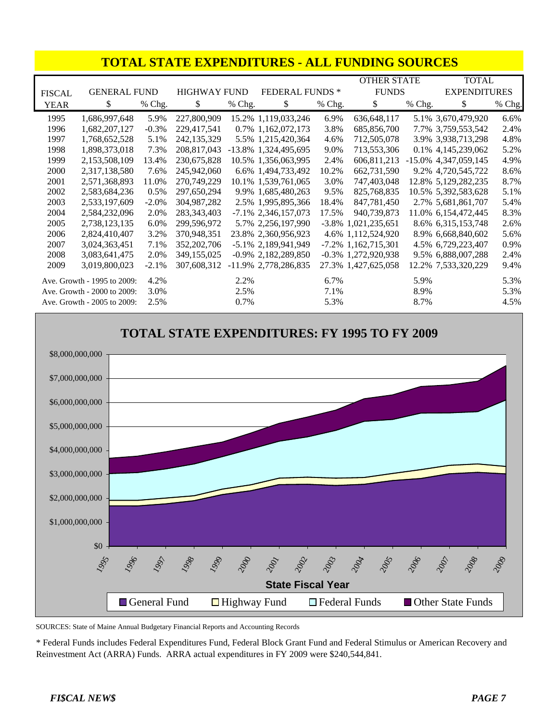|               | <b>TOTAL STATE EXPENDITURES - ALL FUNDING SOURCES</b> |          |               |                                              |                         |        |                        |              |                         |        |  |  |
|---------------|-------------------------------------------------------|----------|---------------|----------------------------------------------|-------------------------|--------|------------------------|--------------|-------------------------|--------|--|--|
|               |                                                       |          |               |                                              |                         |        | <b>OTHER STATE</b>     |              | <b>TOTAL</b>            |        |  |  |
| <b>FISCAL</b> | <b>GENERAL FUND</b>                                   |          |               | <b>FEDERAL FUNDS*</b><br><b>HIGHWAY FUND</b> |                         |        |                        | <b>FUNDS</b> | <b>EXPENDITURES</b>     |        |  |  |
| <b>YEAR</b>   | \$                                                    | % Chg.   | \$            | % Chg.                                       | \$                      | % Chg. | \$                     | % Chg.       | \$                      | % Chg. |  |  |
| 1995          | 1,686,997,648                                         | 5.9%     | 227,800,909   |                                              | 15.2% 1,119,033,246     | 6.9%   | 636,648,117            |              | 5.1% 3,670,479,920      | 6.6%   |  |  |
| 1996          | 1,682,207,127                                         | $-0.3%$  | 229,417,541   |                                              | 0.7% 1,162,072,173      | 3.8%   | 685,856,700            |              | 7.7% 3,759,553,542      | 2.4%   |  |  |
| 1997          | 1,768,652,528                                         | 5.1%     | 242, 135, 329 |                                              | 5.5% 1,215,420,364      | 4.6%   | 712,505,078            |              | 3.9% 3,938,713,298      | 4.8%   |  |  |
| 1998          | 1,898,373,018                                         | 7.3%     | 208,817,043   |                                              | -13.8% 1,324,495,695    | 9.0%   | 713,553,306            |              | 0.1% 4,145,239,062      | 5.2%   |  |  |
| 1999          | 2,153,508,109                                         | 13.4%    | 230,675,828   |                                              | 10.5% 1,356,063,995     | 2.4%   | 606,811,213            |              | $-15.0\%$ 4,347,059,145 | 4.9%   |  |  |
| 2000          | 2,317,138,580                                         | 7.6%     | 245,942,060   |                                              | 6.6% 1,494,733,492      | 10.2%  | 662,731,590            |              | 9.2% 4,720,545,722      | 8.6%   |  |  |
| 2001          | 2,571,368,893                                         | 11.0%    | 270,749,229   |                                              | 10.1% 1,539,761,065     | 3.0%   | 747,403,048            |              | 12.8% 5,129,282,235     | 8.7%   |  |  |
| 2002          | 2,583,684,236                                         | 0.5%     | 297,650,294   |                                              | 9.9% 1,685,480,263      | 9.5%   | 825,768,835            |              | 10.5% 5,392,583,628     | 5.1%   |  |  |
| 2003          | 2,533,197,609                                         | $-2.0\%$ | 304,987,282   |                                              | 2.5% 1,995,895,366      | 18.4%  | 847,781,450            |              | 2.7% 5,681,861,707      | 5.4%   |  |  |
| 2004          | 2,584,232,096                                         | 2.0%     | 283, 343, 403 |                                              | $-7.1\%$ 2,346,157,073  | 17.5%  | 940,739,873            |              | 11.0% 6,154,472,445     | 8.3%   |  |  |
| 2005          | 2,738,123,135                                         | 6.0%     | 299,596,972   |                                              | 5.7% 2,256,197,990      |        | $-3.8\%$ 1,021,235,651 |              | 8.6% 6,315,153,748      | 2.6%   |  |  |
| 2006          | 2,824,410,407                                         | 3.2%     | 370,948,351   |                                              | 23.8% 2,360,956,923     |        | 4.6% 1,112,524,920     |              | 8.9% 6,668,840,602      | 5.6%   |  |  |
| 2007          | 3,024,363,451                                         | 7.1%     | 352,202,706   |                                              | $-5.1\%$ 2,189,941,949  |        | $-7.2\%$ 1,162,715,301 |              | 4.5% 6,729,223,407      | 0.9%   |  |  |
| 2008          | 3,083,641,475                                         | 2.0%     | 349,155,025   |                                              | $-0.9\%$ 2,182,289,850  |        | $-0.3\%$ 1,272,920,938 |              | 9.5% 6,888,007,288      | 2.4%   |  |  |
| 2009          | 3,019,800,023                                         | $-2.1%$  | 307,608,312   |                                              | $-11.9\%$ 2,778,286,835 |        | 27.3% 1,427,625,058    |              | 12.2% 7,533,320,229     | 9.4%   |  |  |
|               | Ave. Growth - 1995 to 2009:                           | 4.2%     |               | 2.2%                                         |                         | 6.7%   |                        | 5.9%         |                         | 5.3%   |  |  |
|               | Ave. Growth - 2000 to 2009:                           | 3.0%     |               | 2.5%                                         |                         | 7.1%   |                        | 8.9%         |                         | 5.3%   |  |  |
|               | Ave. Growth - 2005 to 2009:                           | 2.5%     |               | 0.7%                                         |                         | 5.3%   |                        | 8.7%         |                         | 4.5%   |  |  |



SOURCES: State of Maine Annual Budgetary Financial Reports and Accounting Records

\* Federal Funds includes Federal Expenditures Fund, Federal Block Grant Fund and Federal Stimulus or American Recovery and Reinvestment Act (ARRA) Funds. ARRA actual expenditures in FY 2009 were \$240,544,841.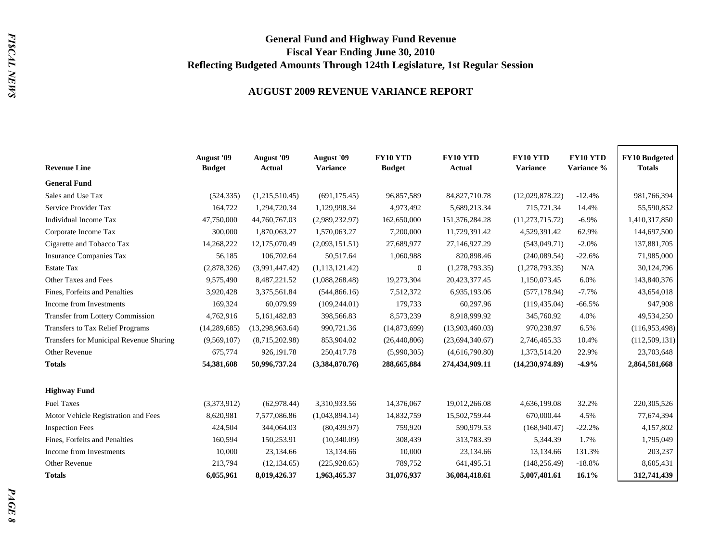# **General Fund and Highway Fund Revenue Fiscal Year Ending June 30, 2010 Reflecting Budgeted Amounts Through 124th Legislature, 1st Regular Session**

### **AUGUST 2009 REVENUE VARIANCE REPORT**

| <b>Revenue Line</b>                     | <b>August</b> '09<br><b>Budget</b> | August '09<br>Actual | August '09<br><b>Variance</b> | <b>FY10 YTD</b><br><b>Budget</b> | <b>FY10 YTD</b><br><b>Actual</b> | <b>FY10 YTD</b><br><b>Variance</b> | <b>FY10 YTD</b><br>Variance % | <b>FY10 Budgeted</b><br><b>Totals</b> |
|-----------------------------------------|------------------------------------|----------------------|-------------------------------|----------------------------------|----------------------------------|------------------------------------|-------------------------------|---------------------------------------|
| <b>General Fund</b>                     |                                    |                      |                               |                                  |                                  |                                    |                               |                                       |
| Sales and Use Tax                       | (524, 335)                         | (1,215,510.45)       | (691, 175.45)                 | 96,857,589                       | 84, 827, 710. 78                 | (12,029,878.22)                    | $-12.4%$                      | 981,766,394                           |
| Service Provider Tax                    | 164,722                            | 1,294,720.34         | 1,129,998.34                  | 4,973,492                        | 5,689,213.34                     | 715,721.34                         | 14.4%                         | 55,590,852                            |
| Individual Income Tax                   | 47,750,000                         | 44,760,767.03        | (2,989,232.97)                | 162,650,000                      | 151,376,284.28                   | (11, 273, 715, 72)                 | $-6.9%$                       | 1,410,317,850                         |
| Corporate Income Tax                    | 300,000                            | 1,870,063.27         | 1,570,063.27                  | 7,200,000                        | 11,729,391.42                    | 4,529,391.42                       | 62.9%                         | 144,697,500                           |
| Cigarette and Tobacco Tax               | 14,268,222                         | 12,175,070.49        | (2,093,151.51)                | 27,689,977                       | 27,146,927.29                    | (543, 049.71)                      | $-2.0%$                       | 137,881,705                           |
| <b>Insurance Companies Tax</b>          | 56,185                             | 106,702.64           | 50,517.64                     | 1,060,988                        | 820,898.46                       | (240,089.54)                       | $-22.6%$                      | 71,985,000                            |
| <b>Estate Tax</b>                       | (2,878,326)                        | (3,991,447.42)       | (1,113,121.42)                | $\boldsymbol{0}$                 | (1,278,793.35)                   | (1,278,793.35)                     | N/A                           | 30,124,796                            |
| Other Taxes and Fees                    | 9,575,490                          | 8,487,221.52         | (1,088,268.48)                | 19,273,304                       | 20,423,377.45                    | 1,150,073.45                       | 6.0%                          | 143,840,376                           |
| Fines, Forfeits and Penalties           | 3,920,428                          | 3,375,561.84         | (544, 866.16)                 | 7,512,372                        | 6,935,193.06                     | (577, 178.94)                      | $-7.7%$                       | 43,654,018                            |
| Income from Investments                 | 169,324                            | 60,079.99            | (109, 244.01)                 | 179,733                          | 60,297.96                        | (119, 435.04)                      | $-66.5%$                      | 947,908                               |
| <b>Transfer from Lottery Commission</b> | 4,762,916                          | 5,161,482.83         | 398,566.83                    | 8,573,239                        | 8,918,999.92                     | 345,760.92                         | 4.0%                          | 49,534,250                            |
| <b>Transfers to Tax Relief Programs</b> | (14, 289, 685)                     | (13,298,963.64)      | 990,721.36                    | (14,873,699)                     | (13,903,460.03)                  | 970,238.97                         | 6.5%                          | (116,953,498)                         |
| Transfers for Municipal Revenue Sharing | (9,569,107)                        | (8,715,202.98)       | 853,904.02                    | (26,440,806)                     | (23,694,340.67)                  | 2,746,465.33                       | 10.4%                         | (112, 509, 131)                       |
| Other Revenue                           | 675,774                            | 926,191.78           | 250,417.78                    | (5,990,305)                      | (4,616,790.80)                   | 1,373,514.20                       | 22.9%                         | 23,703,648                            |
| <b>Totals</b>                           | 54,381,608                         | 50,996,737.24        | (3,384,870.76)                | 288,665,884                      | 274,434,909.11                   | (14,230,974.89)                    | $-4.9%$                       | 2,864,581,668                         |
| <b>Highway Fund</b>                     |                                    |                      |                               |                                  |                                  |                                    |                               |                                       |
| <b>Fuel Taxes</b>                       | (3,373,912)                        | (62,978.44)          | 3,310,933.56                  | 14,376,067                       | 19,012,266.08                    | 4,636,199.08                       | 32.2%                         | 220, 305, 526                         |
| Motor Vehicle Registration and Fees     | 8,620,981                          | 7,577,086.86         | (1,043,894.14)                | 14,832,759                       | 15,502,759.44                    | 670,000.44                         | 4.5%                          | 77,674,394                            |
| <b>Inspection Fees</b>                  | 424,504                            | 344,064.03           | (80, 439.97)                  | 759,920                          | 590,979.53                       | (168, 940.47)                      | $-22.2%$                      | 4,157,802                             |
| Fines, Forfeits and Penalties           | 160,594                            | 150,253.91           | (10,340.09)                   | 308,439                          | 313,783.39                       | 5,344.39                           | 1.7%                          | 1,795,049                             |
| Income from Investments                 | 10,000                             | 23,134.66            | 13,134.66                     | 10,000                           | 23,134.66                        | 13,134.66                          | 131.3%                        | 203,237                               |
| Other Revenue                           | 213,794                            | (12, 134.65)         | (225, 928.65)                 | 789,752                          | 641,495.51                       | (148, 256.49)                      | $-18.8%$                      | 8,605,431                             |
| <b>Totals</b>                           | 6.055.961                          | 8,019,426.37         | 1,963,465.37                  | 31,076,937                       | 36,084,418.61                    | 5,007,481.61                       | 16.1%                         | 312,741,439                           |